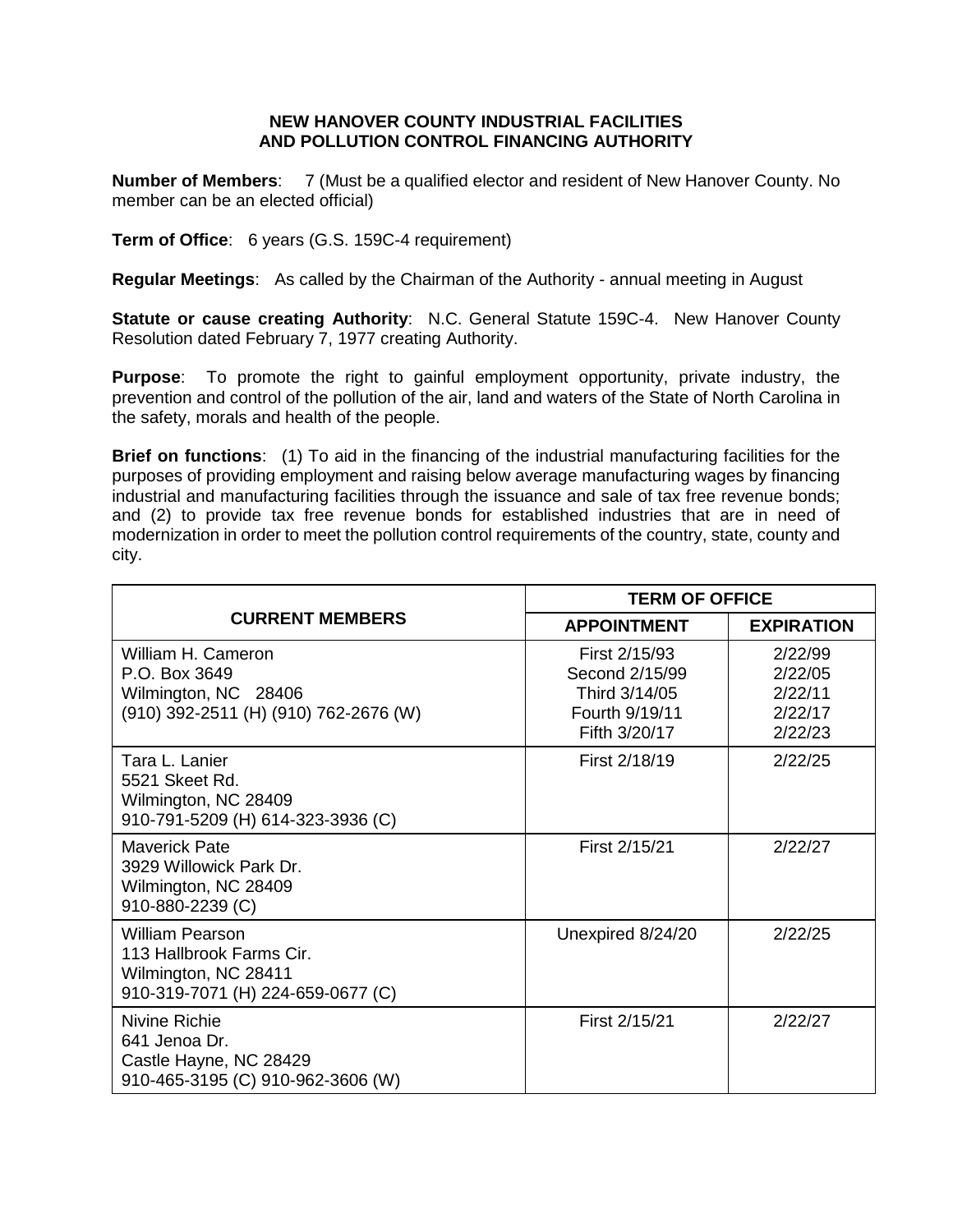## **NEW HANOVER COUNTY INDUSTRIAL FACILITIES AND POLLUTION CONTROL FINANCING AUTHORITY**

**Number of Members**: 7 (Must be a qualified elector and resident of New Hanover County. No member can be an elected official)

**Term of Office**: 6 years (G.S. 159C-4 requirement)

**Regular Meetings**: As called by the Chairman of the Authority - annual meeting in August

**Statute or cause creating Authority: N.C. General Statute 159C-4. New Hanover County** Resolution dated February 7, 1977 creating Authority.

**Purpose**: To promote the right to gainful employment opportunity, private industry, the prevention and control of the pollution of the air, land and waters of the State of North Carolina in the safety, morals and health of the people.

**Brief on functions**: (1) To aid in the financing of the industrial manufacturing facilities for the purposes of providing employment and raising below average manufacturing wages by financing industrial and manufacturing facilities through the issuance and sale of tax free revenue bonds; and (2) to provide tax free revenue bonds for established industries that are in need of modernization in order to meet the pollution control requirements of the country, state, county and city.

| <b>CURRENT MEMBERS</b>                                                                                          | <b>TERM OF OFFICE</b>                                                               |                                                     |
|-----------------------------------------------------------------------------------------------------------------|-------------------------------------------------------------------------------------|-----------------------------------------------------|
|                                                                                                                 | <b>APPOINTMENT</b>                                                                  | <b>EXPIRATION</b>                                   |
| William H. Cameron<br>P.O. Box 3649<br>Wilmington, NC 28406<br>(910) 392-2511 (H) (910) 762-2676 (W)            | First 2/15/93<br>Second 2/15/99<br>Third 3/14/05<br>Fourth 9/19/11<br>Fifth 3/20/17 | 2/22/99<br>2/22/05<br>2/22/11<br>2/22/17<br>2/22/23 |
| Tara L. Lanier<br>5521 Skeet Rd.<br>Wilmington, NC 28409<br>910-791-5209 (H) 614-323-3936 (C)                   | First 2/18/19                                                                       | 2/22/25                                             |
| <b>Maverick Pate</b><br>3929 Willowick Park Dr.<br>Wilmington, NC 28409<br>910-880-2239 (C)                     | First 2/15/21                                                                       | 2/22/27                                             |
| <b>William Pearson</b><br>113 Hallbrook Farms Cir.<br>Wilmington, NC 28411<br>910-319-7071 (H) 224-659-0677 (C) | Unexpired 8/24/20                                                                   | 2/22/25                                             |
| Nivine Richie<br>641 Jenoa Dr.<br>Castle Hayne, NC 28429<br>910-465-3195 (C) 910-962-3606 (W)                   | First 2/15/21                                                                       | 2/22/27                                             |